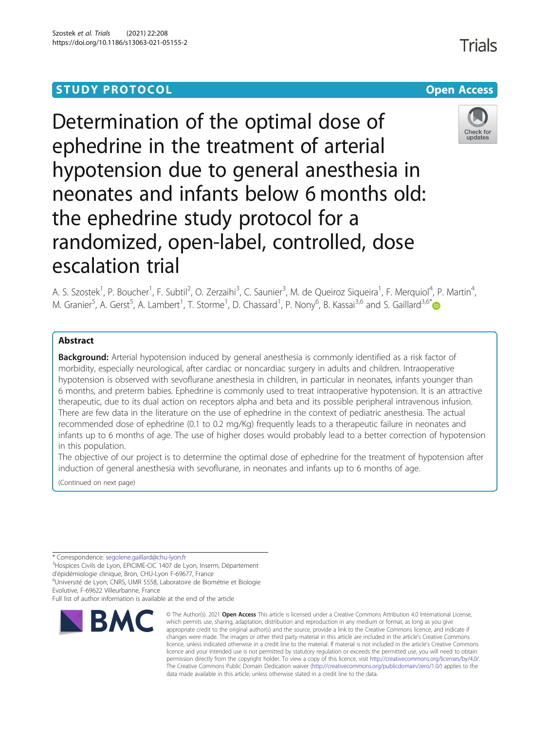## **STUDY PROTOCOL CONSUMING THE CONSUMING OPEN ACCESS**

# Determination of the optimal dose of ephedrine in the treatment of arterial hypotension due to general anesthesia in neonates and infants below 6 months old: the ephedrine study protocol for a randomized, open-label, controlled, dose escalation trial

A. S. Szostek<sup>1</sup>, P. Boucher<sup>1</sup>, F. Subtil<sup>2</sup>, O. Zerzaihi<sup>3</sup>, C. Saunier<sup>3</sup>, M. de Queiroz Siqueira<sup>1</sup>, F. Merquiol<sup>4</sup>, P. Martin<sup>4</sup> M. Granier<sup>5</sup>, A. Gerst<sup>5</sup>, A. Lambert<sup>1</sup>, T. Storme<sup>1</sup>, D. Chassard<sup>1</sup>, P. Nony<sup>6</sup>, B. Kassai<sup>3,6</sup> and S. Gaillard<sup>3,6[\\*](http://orcid.org/0000-0002-6854-7366)</sup>

## Abstract

Background: Arterial hypotension induced by general anesthesia is commonly identified as a risk factor of morbidity, especially neurological, after cardiac or noncardiac surgery in adults and children. Intraoperative hypotension is observed with sevoflurane anesthesia in children, in particular in neonates, infants younger than 6 months, and preterm babies. Ephedrine is commonly used to treat intraoperative hypotension. It is an attractive therapeutic, due to its dual action on receptors alpha and beta and its possible peripheral intravenous infusion. There are few data in the literature on the use of ephedrine in the context of pediatric anesthesia. The actual recommended dose of ephedrine (0.1 to 0.2 mg/Kg) frequently leads to a therapeutic failure in neonates and infants up to 6 months of age. The use of higher doses would probably lead to a better correction of hypotension in this population.

The objective of our project is to determine the optimal dose of ephedrine for the treatment of hypotension after induction of general anesthesia with sevoflurane, in neonates and infants up to 6 months of age.

which permits use, sharing, adaptation, distribution and reproduction in any medium or format, as long as you give

(Continued on next page)

\* Correspondence: [segolene.gaillard@chu-lyon.fr](mailto:segolene.gaillard@chu-lyon.fr) <sup>3</sup>

<sup>3</sup>Hospices Civils de Lyon, EPICIME-CIC 1407 de Lyon, Inserm, Département

d'épidémiologie clinique, Bron, CHU-Lyon F-69677, France

6 Université de Lyon; CNRS, UMR 5558, Laboratoire de Biométrie et Biologie

Evolutive, F-69622 Villeurbanne, France Full list of author information is available at the end of the article





Check for updates

,

Trials

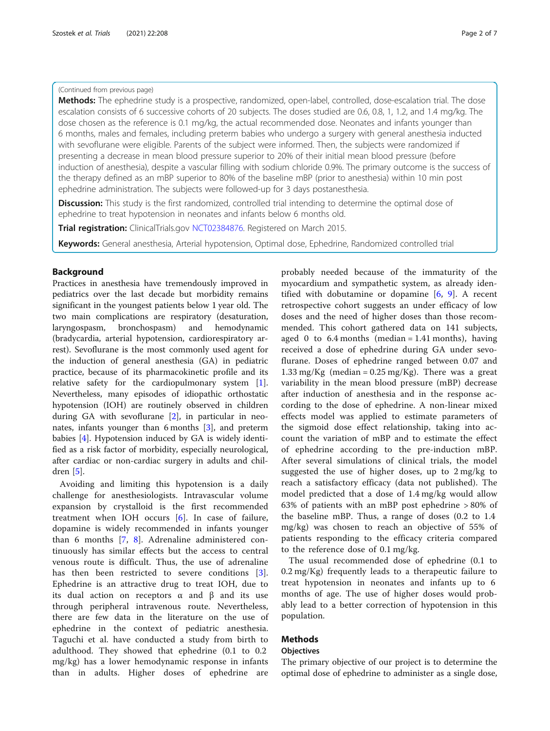## (Continued from previous page)

Methods: The ephedrine study is a prospective, randomized, open-label, controlled, dose-escalation trial. The dose escalation consists of 6 successive cohorts of 20 subjects. The doses studied are 0.6, 0.8, 1, 1.2, and 1.4 mg/kg. The dose chosen as the reference is 0.1 mg/kg, the actual recommended dose. Neonates and infants younger than 6 months, males and females, including preterm babies who undergo a surgery with general anesthesia inducted with sevoflurane were eligible. Parents of the subject were informed. Then, the subjects were randomized if presenting a decrease in mean blood pressure superior to 20% of their initial mean blood pressure (before induction of anesthesia), despite a vascular filling with sodium chloride 0.9%. The primary outcome is the success of the therapy defined as an mBP superior to 80% of the baseline mBP (prior to anesthesia) within 10 min post ephedrine administration. The subjects were followed-up for 3 days postanesthesia.

**Discussion:** This study is the first randomized, controlled trial intending to determine the optimal dose of ephedrine to treat hypotension in neonates and infants below 6 months old.

**Trial registration:** ClinicalTrials.gov [NCT02384876](https://clinicaltrials.gov/ct2/show/NCT02384876?term=NCT02384876&draw=2&rank=1). Registered on March 2015.

Keywords: General anesthesia, Arterial hypotension, Optimal dose, Ephedrine, Randomized controlled trial

## Background

Practices in anesthesia have tremendously improved in pediatrics over the last decade but morbidity remains significant in the youngest patients below 1 year old. The two main complications are respiratory (desaturation, laryngospasm, bronchospasm) and hemodynamic (bradycardia, arterial hypotension, cardiorespiratory arrest). Sevoflurane is the most commonly used agent for the induction of general anesthesia (GA) in pediatric practice, because of its pharmacokinetic profile and its relative safety for the cardiopulmonary system [\[1](#page-5-0)]. Nevertheless, many episodes of idiopathic orthostatic hypotension (IOH) are routinely observed in children during GA with sevoflurane [[2\]](#page-5-0), in particular in neonates, infants younger than 6 months [\[3](#page-5-0)], and preterm babies [[4\]](#page-5-0). Hypotension induced by GA is widely identified as a risk factor of morbidity, especially neurological, after cardiac or non-cardiac surgery in adults and children [[5](#page-5-0)].

Avoiding and limiting this hypotension is a daily challenge for anesthesiologists. Intravascular volume expansion by crystalloid is the first recommended treatment when IOH occurs [\[6](#page-5-0)]. In case of failure, dopamine is widely recommended in infants younger than 6 months [[7,](#page-6-0) [8\]](#page-6-0). Adrenaline administered continuously has similar effects but the access to central venous route is difficult. Thus, the use of adrenaline has then been restricted to severe conditions [\[3](#page-5-0)]. Ephedrine is an attractive drug to treat IOH, due to its dual action on receptors  $\alpha$  and  $\beta$  and its use through peripheral intravenous route. Nevertheless, there are few data in the literature on the use of ephedrine in the context of pediatric anesthesia. Taguchi et al. have conducted a study from birth to adulthood. They showed that ephedrine (0.1 to 0.2 mg/kg) has a lower hemodynamic response in infants than in adults. Higher doses of ephedrine are

probably needed because of the immaturity of the myocardium and sympathetic system, as already identified with dobutamine or dopamine  $[6, 9]$  $[6, 9]$  $[6, 9]$  $[6, 9]$  $[6, 9]$ . A recent retrospective cohort suggests an under efficacy of low doses and the need of higher doses than those recommended. This cohort gathered data on 141 subjects, aged 0 to  $6.4$  months (median = 1.41 months), having received a dose of ephedrine during GA under sevoflurane. Doses of ephedrine ranged between 0.07 and 1.33 mg/Kg (median =  $0.25$  mg/Kg). There was a great variability in the mean blood pressure (mBP) decrease after induction of anesthesia and in the response according to the dose of ephedrine. A non-linear mixed effects model was applied to estimate parameters of the sigmoid dose effect relationship, taking into account the variation of mBP and to estimate the effect of ephedrine according to the pre-induction mBP. After several simulations of clinical trials, the model suggested the use of higher doses, up to 2 mg/kg to reach a satisfactory efficacy (data not published). The model predicted that a dose of 1.4 mg/kg would allow 63% of patients with an mBP post ephedrine > 80% of the baseline mBP. Thus, a range of doses (0.2 to 1.4 mg/kg) was chosen to reach an objective of 55% of patients responding to the efficacy criteria compared to the reference dose of 0.1 mg/kg.

The usual recommended dose of ephedrine (0.1 to 0.2 mg/Kg) frequently leads to a therapeutic failure to treat hypotension in neonates and infants up to 6 months of age. The use of higher doses would probably lead to a better correction of hypotension in this population.

## Methods

## **Objectives**

The primary objective of our project is to determine the optimal dose of ephedrine to administer as a single dose,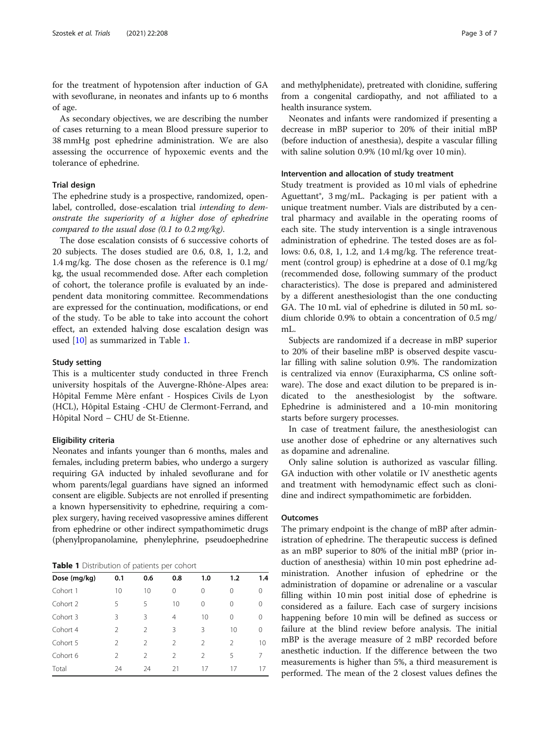<span id="page-2-0"></span>for the treatment of hypotension after induction of GA with sevoflurane, in neonates and infants up to 6 months of age.

As secondary objectives, we are describing the number of cases returning to a mean Blood pressure superior to 38 mmHg post ephedrine administration. We are also assessing the occurrence of hypoxemic events and the tolerance of ephedrine.

## Trial design

The ephedrine study is a prospective, randomized, openlabel, controlled, dose-escalation trial intending to demonstrate the superiority of a higher dose of ephedrine compared to the usual dose  $(0.1 \text{ to } 0.2 \text{ mg/kg}).$ 

The dose escalation consists of 6 successive cohorts of 20 subjects. The doses studied are 0.6, 0.8, 1, 1.2, and 1.4 mg/kg. The dose chosen as the reference is 0.1 mg/ kg, the usual recommended dose. After each completion of cohort, the tolerance profile is evaluated by an independent data monitoring committee. Recommendations are expressed for the continuation, modifications, or end of the study. To be able to take into account the cohort effect, an extended halving dose escalation design was used [[10](#page-6-0)] as summarized in Table 1.

## Study setting

This is a multicenter study conducted in three French university hospitals of the Auvergne-Rhône-Alpes area: Hôpital Femme Mère enfant - Hospices Civils de Lyon (HCL), Hôpital Estaing -CHU de Clermont-Ferrand, and Hôpital Nord – CHU de St-Etienne.

## Eligibility criteria

Neonates and infants younger than 6 months, males and females, including preterm babies, who undergo a surgery requiring GA inducted by inhaled sevoflurane and for whom parents/legal guardians have signed an informed consent are eligible. Subjects are not enrolled if presenting a known hypersensitivity to ephedrine, requiring a complex surgery, having received vasopressive amines different from ephedrine or other indirect sympathomimetic drugs (phenylpropanolamine, phenylephrine, pseudoephedrine

Table 1 Distribution of patients per cohort

| Dose (mg/kg) | 0.1            | 0.6            | 0.8            | 1.0           | 1.2            | 1.4      |
|--------------|----------------|----------------|----------------|---------------|----------------|----------|
| Cohort 1     | 10             | 10             | 0              | 0             | 0              | $\Omega$ |
| Cohort 2     | 5              | 5              | 10             | $\Omega$      | 0              | $\Omega$ |
| Cohort 3     | 3              | 3              | $\overline{4}$ | 10            | $\Omega$       | 0        |
| Cohort 4     | $\mathfrak{D}$ | $\mathfrak{D}$ | 3              | 3             | 10             | $\Omega$ |
| Cohort 5     | $\mathfrak{D}$ | $\mathfrak{D}$ | $\mathcal{P}$  | $\mathcal{P}$ | $\mathfrak{D}$ | 10       |
| Cohort 6     | $\mathfrak{D}$ | $\mathcal{P}$  | 2              | $\mathcal{P}$ | 5              | 7        |
| Total        | 24             | 24             | 21             | 17            | 17             | 17       |

and methylphenidate), pretreated with clonidine, suffering from a congenital cardiopathy, and not affiliated to a health insurance system.

Neonates and infants were randomized if presenting a decrease in mBP superior to 20% of their initial mBP (before induction of anesthesia), despite a vascular filling with saline solution 0.9% (10 ml/kg over 10 min).

### Intervention and allocation of study treatment

Study treatment is provided as 10 ml vials of ephedrine Aguettant®, 3 mg/mL. Packaging is per patient with a unique treatment number. Vials are distributed by a central pharmacy and available in the operating rooms of each site. The study intervention is a single intravenous administration of ephedrine. The tested doses are as follows: 0.6, 0.8, 1, 1.2, and 1.4 mg/kg. The reference treatment (control group) is ephedrine at a dose of 0.1 mg/kg (recommended dose, following summary of the product characteristics). The dose is prepared and administered by a different anesthesiologist than the one conducting GA. The 10 mL vial of ephedrine is diluted in 50 mL sodium chloride 0.9% to obtain a concentration of 0.5 mg/ mL.

Subjects are randomized if a decrease in mBP superior to 20% of their baseline mBP is observed despite vascular filling with saline solution 0.9%. The randomization is centralized via ennov (Euraxipharma, CS online software). The dose and exact dilution to be prepared is indicated to the anesthesiologist by the software. Ephedrine is administered and a 10-min monitoring starts before surgery processes.

In case of treatment failure, the anesthesiologist can use another dose of ephedrine or any alternatives such as dopamine and adrenaline.

Only saline solution is authorized as vascular filling. GA induction with other volatile or IV anesthetic agents and treatment with hemodynamic effect such as clonidine and indirect sympathomimetic are forbidden.

## **Outcomes**

The primary endpoint is the change of mBP after administration of ephedrine. The therapeutic success is defined as an mBP superior to 80% of the initial mBP (prior induction of anesthesia) within 10 min post ephedrine administration. Another infusion of ephedrine or the administration of dopamine or adrenaline or a vascular filling within 10 min post initial dose of ephedrine is considered as a failure. Each case of surgery incisions happening before 10 min will be defined as success or failure at the blind review before analysis. The initial mBP is the average measure of 2 mBP recorded before anesthetic induction. If the difference between the two measurements is higher than 5%, a third measurement is performed. The mean of the 2 closest values defines the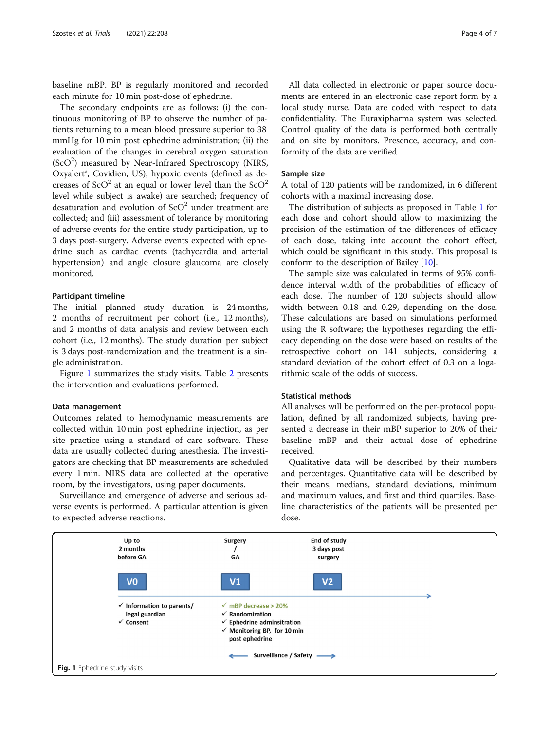baseline mBP. BP is regularly monitored and recorded each minute for 10 min post-dose of ephedrine.

The secondary endpoints are as follows: (i) the continuous monitoring of BP to observe the number of patients returning to a mean blood pressure superior to 38 mmHg for 10 min post ephedrine administration; (ii) the evaluation of the changes in cerebral oxygen saturation (ScO<sup>2</sup>) measured by Near-Infrared Spectroscopy (NIRS, Oxyalert®, Covidien, US); hypoxic events (defined as decreases of  $\text{SCO}^2$  at an equal or lower level than the  $\text{SCO}^2$ level while subject is awake) are searched; frequency of desaturation and evolution of  $ScO<sup>2</sup>$  under treatment are collected; and (iii) assessment of tolerance by monitoring of adverse events for the entire study participation, up to 3 days post-surgery. Adverse events expected with ephedrine such as cardiac events (tachycardia and arterial hypertension) and angle closure glaucoma are closely monitored.

## Participant timeline

The initial planned study duration is 24 months, 2 months of recruitment per cohort (i.e., 12 months), and 2 months of data analysis and review between each cohort (i.e., 12 months). The study duration per subject is 3 days post-randomization and the treatment is a single administration.

Figure 1 summarizes the study visits. Table [2](#page-4-0) presents the intervention and evaluations performed.

#### Data management

Outcomes related to hemodynamic measurements are collected within 10 min post ephedrine injection, as per site practice using a standard of care software. These data are usually collected during anesthesia. The investigators are checking that BP measurements are scheduled every 1 min. NIRS data are collected at the operative room, by the investigators, using paper documents.

Surveillance and emergence of adverse and serious adverse events is performed. A particular attention is given to expected adverse reactions.

All data collected in electronic or paper source documents are entered in an electronic case report form by a local study nurse. Data are coded with respect to data confidentiality. The Euraxipharma system was selected. Control quality of the data is performed both centrally and on site by monitors. Presence, accuracy, and conformity of the data are verified.

## Sample size

A total of 120 patients will be randomized, in 6 different cohorts with a maximal increasing dose.

The distribution of subjects as proposed in Table [1](#page-2-0) for each dose and cohort should allow to maximizing the precision of the estimation of the differences of efficacy of each dose, taking into account the cohort effect, which could be significant in this study. This proposal is conform to the description of Bailey [\[10\]](#page-6-0).

The sample size was calculated in terms of 95% confidence interval width of the probabilities of efficacy of each dose. The number of 120 subjects should allow width between 0.18 and 0.29, depending on the dose. These calculations are based on simulations performed using the R software; the hypotheses regarding the efficacy depending on the dose were based on results of the retrospective cohort on 141 subjects, considering a standard deviation of the cohort effect of 0.3 on a logarithmic scale of the odds of success.

## Statistical methods

All analyses will be performed on the per-protocol population, defined by all randomized subjects, having presented a decrease in their mBP superior to 20% of their baseline mBP and their actual dose of ephedrine received.

Qualitative data will be described by their numbers and percentages. Quantitative data will be described by their means, medians, standard deviations, minimum and maximum values, and first and third quartiles. Baseline characteristics of the patients will be presented per dose.

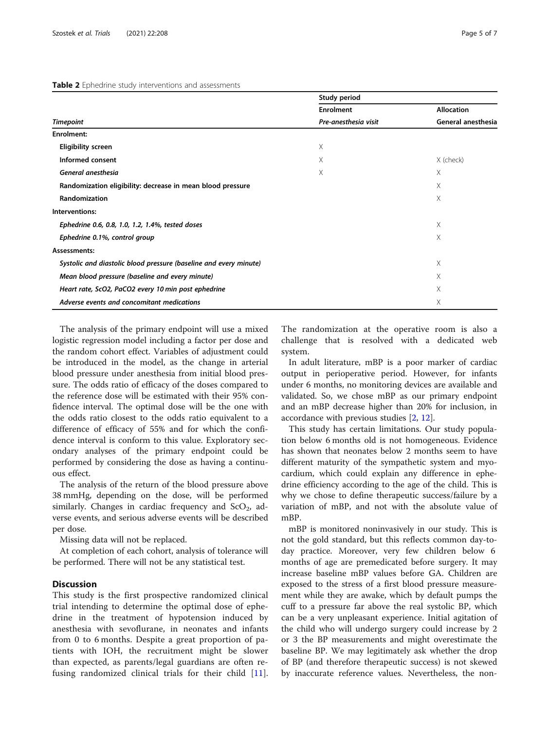#### <span id="page-4-0"></span>Table 2 Ephedrine study interventions and assessments

|                                                                   | Study period         |                   |  |  |
|-------------------------------------------------------------------|----------------------|-------------------|--|--|
|                                                                   | <b>Enrolment</b>     | <b>Allocation</b> |  |  |
| <b>Timepoint</b>                                                  | Pre-anesthesia visit |                   |  |  |
| Enrolment:                                                        |                      |                   |  |  |
| <b>Eligibility screen</b>                                         | Χ                    |                   |  |  |
| Informed consent                                                  | Χ                    | X (check)         |  |  |
| General anesthesia                                                | Χ                    | X                 |  |  |
| Randomization eligibility: decrease in mean blood pressure        | X                    |                   |  |  |
| <b>Randomization</b>                                              |                      | X                 |  |  |
| Interventions:                                                    |                      |                   |  |  |
| Ephedrine 0.6, 0.8, 1.0, 1.2, 1.4%, tested doses                  |                      | X                 |  |  |
| Ephedrine 0.1%, control group                                     |                      | X                 |  |  |
| Assessments:                                                      |                      |                   |  |  |
| Systolic and diastolic blood pressure (baseline and every minute) |                      | X                 |  |  |
| Mean blood pressure (baseline and every minute)                   |                      | X                 |  |  |
| Heart rate, ScO2, PaCO2 every 10 min post ephedrine               |                      | X                 |  |  |
| Adverse events and concomitant medications                        |                      | X                 |  |  |

The analysis of the primary endpoint will use a mixed logistic regression model including a factor per dose and the random cohort effect. Variables of adjustment could be introduced in the model, as the change in arterial blood pressure under anesthesia from initial blood pressure. The odds ratio of efficacy of the doses compared to the reference dose will be estimated with their 95% confidence interval. The optimal dose will be the one with the odds ratio closest to the odds ratio equivalent to a difference of efficacy of 55% and for which the confidence interval is conform to this value. Exploratory secondary analyses of the primary endpoint could be performed by considering the dose as having a continuous effect.

The analysis of the return of the blood pressure above 38 mmHg, depending on the dose, will be performed similarly. Changes in cardiac frequency and  $ScO<sub>2</sub>$ , adverse events, and serious adverse events will be described per dose.

Missing data will not be replaced.

At completion of each cohort, analysis of tolerance will be performed. There will not be any statistical test.

## **Discussion**

This study is the first prospective randomized clinical trial intending to determine the optimal dose of ephedrine in the treatment of hypotension induced by anesthesia with sevoflurane, in neonates and infants from 0 to 6 months. Despite a great proportion of patients with IOH, the recruitment might be slower than expected, as parents/legal guardians are often refusing randomized clinical trials for their child [\[11](#page-6-0)]. The randomization at the operative room is also a challenge that is resolved with a dedicated web system.

In adult literature, mBP is a poor marker of cardiac output in perioperative period. However, for infants under 6 months, no monitoring devices are available and validated. So, we chose mBP as our primary endpoint and an mBP decrease higher than 20% for inclusion, in accordance with previous studies [\[2](#page-5-0), [12\]](#page-6-0).

This study has certain limitations. Our study population below 6 months old is not homogeneous. Evidence has shown that neonates below 2 months seem to have different maturity of the sympathetic system and myocardium, which could explain any difference in ephedrine efficiency according to the age of the child. This is why we chose to define therapeutic success/failure by a variation of mBP, and not with the absolute value of mBP.

mBP is monitored noninvasively in our study. This is not the gold standard, but this reflects common day-today practice. Moreover, very few children below 6 months of age are premedicated before surgery. It may increase baseline mBP values before GA. Children are exposed to the stress of a first blood pressure measurement while they are awake, which by default pumps the cuff to a pressure far above the real systolic BP, which can be a very unpleasant experience. Initial agitation of the child who will undergo surgery could increase by 2 or 3 the BP measurements and might overestimate the baseline BP. We may legitimately ask whether the drop of BP (and therefore therapeutic success) is not skewed by inaccurate reference values. Nevertheless, the non-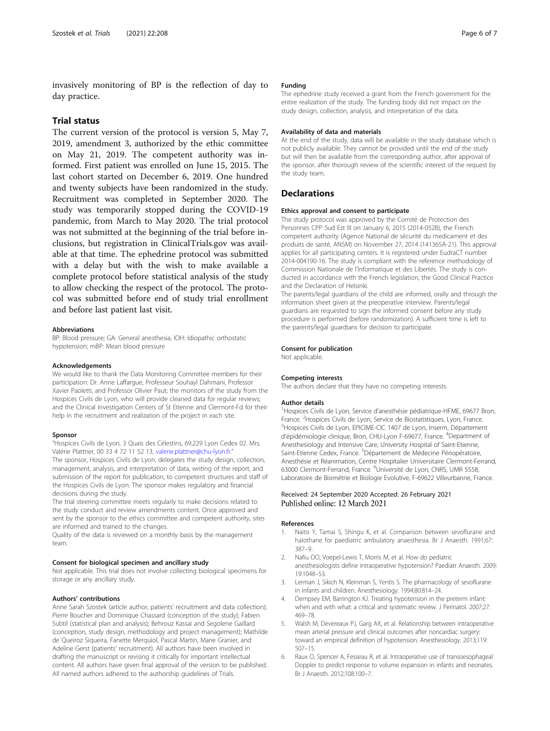<span id="page-5-0"></span>invasively monitoring of BP is the reflection of day to day practice.

## Trial status

The current version of the protocol is version 5, May 7, 2019, amendment 3, authorized by the ethic committee on May 21, 2019. The competent authority was informed. First patient was enrolled on June 15, 2015. The last cohort started on December 6, 2019. One hundred and twenty subjects have been randomized in the study. Recruitment was completed in September 2020. The study was temporarily stopped during the COVID-19 pandemic, from March to May 2020. The trial protocol was not submitted at the beginning of the trial before inclusions, but registration in ClinicalTrials.gov was available at that time. The ephedrine protocol was submitted with a delay but with the wish to make available a complete protocol before statistical analysis of the study to allow checking the respect of the protocol. The protocol was submitted before end of study trial enrollment and before last patient last visit.

#### Abbreviations

BP: Blood pressure; GA: General anesthesia; IOH: Idiopathic orthostatic hypotension; mBP: Mean blood pressure

#### Acknowledgements

We would like to thank the Data Monitoring Committee members for their participation: Dr. Anne Laffargue, Professeur Souhayl Dahmani, Professor Xavier Paoletti, and Professor Olivier Paut; the monitors of the study from the Hospices Civils de Lyon, who will provide cleaned data for regular reviews; and the Clinical Investigation Centers of St Etienne and Clermont-Fd for their help in the recruitment and realization of the project in each site.

#### Sponsor

"Hospices Civils de Lyon, 3 Quais des Célestins, 69,229 Lyon Cedex 02. Mrs. Valérie Plattner, 00 33 4 72 11 52 13, [valerie.plattner@chu-lyon.fr.](mailto:valerie.plattner@chu-lyon.fr)" The sponsor, Hospices Civils de Lyon, delegates the study design, collection, management, analysis, and interpretation of data, writing of the report, and submission of the report for publication, to competent structures and staff of the Hospices Civils de Lyon. The sponsor makes regulatory and financial decisions during the study.

The trial steering committee meets regularly to make decisions related to the study conduct and review amendments content. Once approved and sent by the sponsor to the ethics committee and competent authority, sites are informed and trained to the changes.

Quality of the data is reviewed on a monthly basis by the management team.

#### Consent for biological specimen and ancillary study

Not applicable. This trial does not involve collecting biological specimens for storage or any ancillary study.

#### Authors' contributions

Anne Sarah Szostek (article author, patients' recruitment and data collection); Pierre Boucher and Dominique Chassard (conception of the study); Fabien Subtil (statistical plan and analysis); Behrouz Kassai and Segolene Gaillard (conception, study design, methodology and project management); Mathilde de Queiroz Siqueira, Fanette Merquiol, Pascal Martin, Marie Granier, and Adeline Gerst (patients' recruitment). All authors have been involved in drafting the manuscript or revising it critically for important intellectual content. All authors have given final approval of the version to be published. All named authors adhered to the authorship guidelines of Trials.

#### Funding

The ephedrine study received a grant from the French government for the entire realization of the study. The funding body did not impact on the study design, collection, analysis, and interpretation of the data.

#### Availability of data and materials

At the end of the study, data will be available in the study database which is not publicly available. They cannot be provided until the end of the study but will then be available from the corresponding author, after approval of the sponsor, after thorough review of the scientific interest of the request by the study team.

## **Declarations**

#### Ethics approval and consent to participate

The study protocol was approved by the Comité de Protection des Personnes CPP Sud Est III on January 6, 2015 (2014-052B), the French competent authority (Agence National de sécurité du medicament et des produits de santé, ANSM) on November 27, 2014 (141365A-21). This approval applies for all participating centers. It is registered under EudraCT number 2014-004190-16. The study is compliant with the reference methodology of Commission Nationale de l'Informatique et des Libertés. The study is conducted in accordance with the French legislation, the Good Clinical Practice and the Declaration of Helsinki.

The parents/legal guardians of the child are informed, orally and through the information sheet given at the preoperative interview. Parents/legal guardians are requested to sign the informed consent before any study procedure is performed (before randomization). A sufficient time is left to the parents/legal guardians for decision to participate.

#### Consent for publication

Not applicable.

#### Competing interests

The authors declare that they have no competing interests.

#### Author details

<sup>1</sup>Hospices Civils de Lyon, Service d'anesthésie pédiatrique-HFME, 69677 Bron, France. <sup>2</sup> Hospices Civils de Lyon, Service de Biostatistiques, Lyon, France.<br><sup>3</sup> Hospices Civils de Lyon, EPICIME-CIC 1407 de Lyon, Inserm, Départemen <sup>3</sup>Hospices Civils de Lyon, EPICIME-CIC 1407 de Lyon, Inserm, Département d'épidémiologie clinique, Bron, CHU-Lyon F-69677, France. <sup>4</sup>Department of Anesthesiology and Intensive Care, University Hospital of Saint-Etienne, Saint-Etienne Cedex, France. <sup>5</sup>Département de Médecine Périopératoire, Anesthésie et Réanimation, Centre Hospitalier Universitaire Clermont-Ferrand, 63000 Clermont-Ferrand, France. <sup>6</sup>Université de Lyon; CNRS, UMR 5558, Laboratoire de Biométrie et Biologie Evolutive, F-69622 Villeurbanne, France.

## Received: 24 September 2020 Accepted: 26 February 2021 Published online: 12 March 2021

#### References

- 1. Naito Y, Tamai S, Shingu K, et al. Comparison between sevoflurane and halothane for paediatric ambulatory anaesthesia. Br J Anaesth. 1991;67: 387–9.
- 2. Nafiu OO, Voepel-Lewis T, Morris M, et al. How do pediatric anesthesiologists define intraoperative hypotension? Paediatr Anaesth. 2009; 19:1048–53.
- 3. Lerman J, Sikich N, Kleinman S, Yentis S. The pharmacology of sevoflurane in infants and children. Anesthesiology. 1994;80:814–24.
- 4. Dempsey EM, Barrington KJ. Treating hypotension in the preterm infant: when and with what: a critical and systematic review. J Perinatol. 2007;27: 469–78.
- 5. Walsh M, Devereaux PJ, Garg AX, et al. Relationship between intraoperative mean arterial pressure and clinical outcomes after noncardiac surgery: toward an empirical definition of hypotension. Anesthesiology. 2013;119: 507–15.
- Raux O, Spencer A, Fesseau R, et al. Intraoperative use of transoesophageal Doppler to predict response to volume expansion in infants and neonates. Br J Anaesth. 2012;108:100–7.